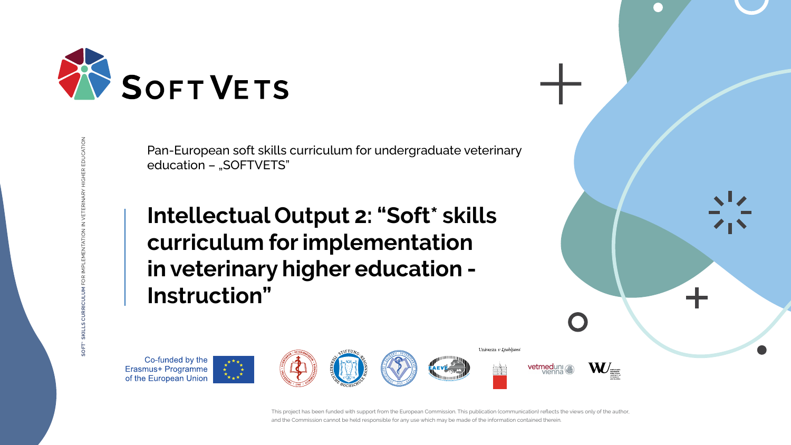This project has been funded with support from the European Commission. This publication (communication) reflects the views only of the author, and the Commission cannot be held responsible for any use which may be made of the information contained therein.



Pan-European soft skills curriculum for undergraduate veterinary education - "SOFTVETS"

**SOFT\* SKILLS CURRICULUM** FOR IMPLEMENTATION IN VETERINARY HIGHER EDUCATION



Univerza v Ljubljani











# **Intellectual Output 2: "Soft\* skills curriculum for implementation in veterinary higher education - Instruction"**

Co-funded by the Erasmus+ Programme<br>of the European Union





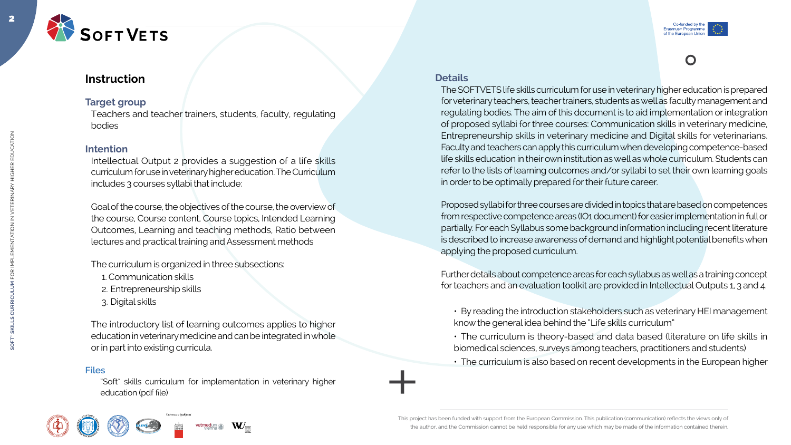This project has been funded with support from the European Commission. This publication (communication) reflects the views only of the author, and the Commission cannot be held responsible for any use which may be made of the information contained therein.















## **Instruction**

### **Target group**

Teachers and teacher trainers, students, faculty, regulating bodies

#### **Intention**

Intellectual Output 2 provides a suggestion of a life skills curriculum for use in veterinary higher education. The Curriculum includes 3 courses syllabi that include:

Goal of the course, the objectives of the course, the overview of the course, Course content, Course topics, Intended Learning Outcomes, Learning and teaching methods, Ratio between lectures and practical training and Assessment methods

The curriculum is organized in three subsections:

- 1. Communication skills
- 2. Entrepreneurship skills
- 3. Digital skills

The introductory list of learning outcomes applies to higher education in veterinary medicine and can be integrated in whole or in part into existing curricula.

#### **Files**

"Soft\* skills curriculum for implementation in veterinary higher education (pdf file)











#### **Details**

The SOFTVETS life skills curriculum for use in veterinary higher education is prepared for veterinary teachers, teacher trainers, students as well as faculty management and regulating bodies. The aim of this document is to aid implementation or integration of proposed syllabi for three courses: Communication skills in veterinary medicine, Entrepreneurship skills in veterinary medicine and Digital skills for veterinarians. Faculty and teachers can apply this curriculum when developing competence-based life skills education in their own institution as well as whole curriculum. Students can refer to the lists of learning outcomes and/or syllabi to set their own learning goals in order to be optimally prepared for their future career.

Proposed syllabi for three courses are divided in topics that are based on competences from respective competence areas (IO1 document) for easier implementation in full or partially. For each Syllabus some background information including recent literature is described to increase awareness of demand and highlight potential benefits when applying the proposed curriculum.

Further details about competence areas for each syllabus as well as a training concept for teachers and an evaluation toolkit are provided in Intellectual Outputs 1, 3 and 4.

- By reading the introduction stakeholders such as veterinary HEI management know the general idea behind the "Life skills curriculum"
- The curriculum is theory-based and data based (literature on life skills in biomedical sciences, surveys among teachers, practitioners and students)
- The curriculum is also based on recent developments in the European higher